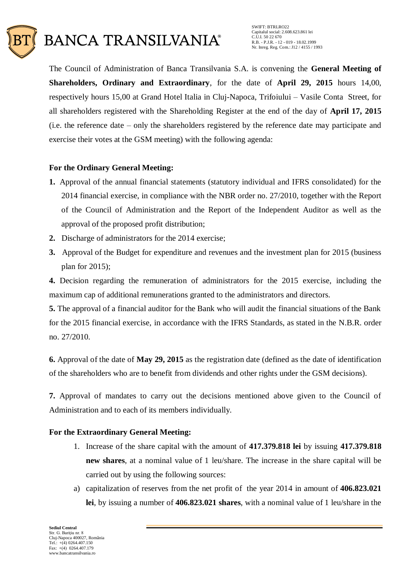

The Council of Administration of Banca Transilvania S.A. is convening the **General Meeting of Shareholders, Ordinary and Extraordinary**, for the date of **April 29, 2015** hours 14,00, respectively hours 15,00 at Grand Hotel Italia in Cluj-Napoca, Trifoiului – Vasile Conta Street, for all shareholders registered with the Shareholding Register at the end of the day of **April 17, 2015** (i.e. the reference date – only the shareholders registered by the reference date may participate and exercise their votes at the GSM meeting) with the following agenda:

# **For the Ordinary General Meeting:**

- **1.** Approval of the annual financial statements (statutory individual and IFRS consolidated) for the 2014 financial exercise, in compliance with the NBR order no. 27/2010, together with the Report of the Council of Administration and the Report of the Independent Auditor as well as the approval of the proposed profit distribution;
- **2.** Discharge of administrators for the 2014 exercise;
- **3.** Approval of the Budget for expenditure and revenues and the investment plan for 2015 (business plan for 2015);

**4.** Decision regarding the remuneration of administrators for the 2015 exercise, including the maximum cap of additional remunerations granted to the administrators and directors.

**5.** The approval of a financial auditor for the Bank who will audit the financial situations of the Bank for the 2015 financial exercise, in accordance with the IFRS Standards, as stated in the N.B.R. order no. 27/2010.

**6.** Approval of the date of **May 29, 2015** as the registration date (defined as the date of identification of the shareholders who are to benefit from dividends and other rights under the GSM decisions).

**7.** Approval of mandates to carry out the decisions mentioned above given to the Council of Administration and to each of its members individually.

## **For the Extraordinary General Meeting:**

- 1. Increase of the share capital with the amount of **417.379.818 lei** by issuing **417.379.818 new shares**, at a nominal value of 1 leu/share. The increase in the share capital will be carried out by using the following sources:
- a) capitalization of reserves from the net profit of the year 2014 in amount of **406.823.021 lei**, by issuing a number of **406.823.021 shares**, with a nominal value of 1 leu/share in the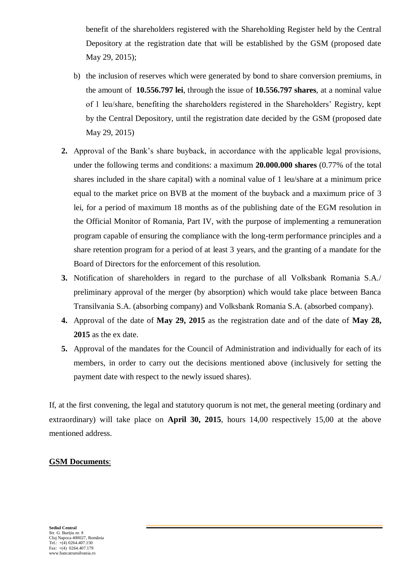benefit of the shareholders registered with the Shareholding Register held by the Central Depository at the registration date that will be established by the GSM (proposed date May 29, 2015);

- b) the inclusion of reserves which were generated by bond to share conversion premiums, in the amount of **10.556.797 lei**, through the issue of **10.556.797 shares**, at a nominal value of 1 leu/share, benefiting the shareholders registered in the Shareholders' Registry, kept by the Central Depository, until the registration date decided by the GSM (proposed date May 29, 2015)
- **2.** Approval of the Bank's share buyback, in accordance with the applicable legal provisions, under the following terms and conditions: a maximum **20.000.000 shares** (0.77% of the total shares included in the share capital) with a nominal value of 1 leu/share at a minimum price equal to the market price on BVB at the moment of the buyback and a maximum price of 3 lei, for a period of maximum 18 months as of the publishing date of the EGM resolution in the Official Monitor of Romania, Part IV, with the purpose of implementing a remuneration program capable of ensuring the compliance with the long-term performance principles and a share retention program for a period of at least 3 years, and the granting of a mandate for the Board of Directors for the enforcement of this resolution.
- **3.** Notification of shareholders in regard to the purchase of all Volksbank Romania S.A./ preliminary approval of the merger (by absorption) which would take place between Banca Transilvania S.A. (absorbing company) and Volksbank Romania S.A. (absorbed company).
- **4.** Approval of the date of **May 29, 2015** as the registration date and of the date of **May 28, 2015** as the ex date.
- **5.** Approval of the mandates for the Council of Administration and individually for each of its members, in order to carry out the decisions mentioned above (inclusively for setting the payment date with respect to the newly issued shares).

If, at the first convening, the legal and statutory quorum is not met, the general meeting (ordinary and extraordinary) will take place on **April 30, 2015**, hours 14,00 respectively 15,00 at the above mentioned address.

## **GSM Documents**: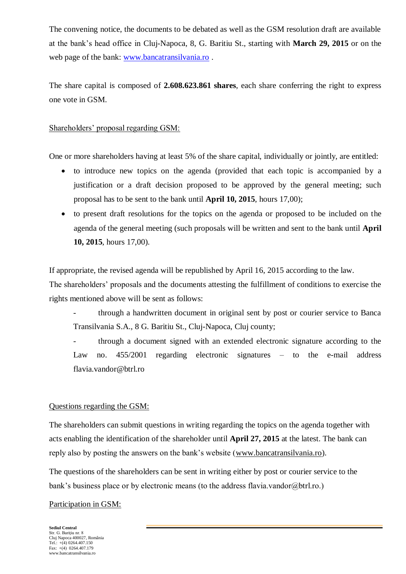The convening notice, the documents to be debated as well as the GSM resolution draft are available at the bank's head office in Cluj-Napoca, 8, G. Baritiu St., starting with **March 29, 2015** or on the web page of the bank: [www.bancatransilvania.ro](http://www.bancatransilvania.ro/) .

The share capital is composed of **2.608.623.861 shares**, each share conferring the right to express one vote in GSM.

## Shareholders' proposal regarding GSM:

One or more shareholders having at least 5% of the share capital, individually or jointly, are entitled:

- to introduce new topics on the agenda (provided that each topic is accompanied by a justification or a draft decision proposed to be approved by the general meeting; such proposal has to be sent to the bank until **April 10, 2015**, hours 17,00);
- to present draft resolutions for the topics on the agenda or proposed to be included on the agenda of the general meeting (such proposals will be written and sent to the bank until **April 10, 2015**, hours 17,00).

If appropriate, the revised agenda will be republished by April 16, 2015 according to the law.

The shareholders' proposals and the documents attesting the fulfillment of conditions to exercise the rights mentioned above will be sent as follows:

through a handwritten document in original sent by post or courier service to Banca Transilvania S.A., 8 G. Baritiu St., Cluj-Napoca, Cluj county;

- through a document signed with an extended electronic signature according to the Law no. 455/2001 regarding electronic signatures – to the e-mail address flavia.vandor@btrl.ro

## Questions regarding the GSM:

The shareholders can submit questions in writing regarding the topics on the agenda together with acts enabling the identification of the shareholder until **April 27, 2015** at the latest. The bank can reply also by posting the answers on the bank's website [\(www.bancatransilvania.ro\)](http://www.bancatransilvania.ro/).

The questions of the shareholders can be sent in writing either by post or courier service to the bank's business place or by electronic means (to the address flavia.vandor@btrl.ro.)

## Participation in GSM:

**Sediul Central** Str. G. Bariţiu nr. 8 Cluj Napoca 400027, România Tel.:  $+(4)$  0264.407.150  $Fax: +(4)$  0264 407 179 www.bancatransilvania.ro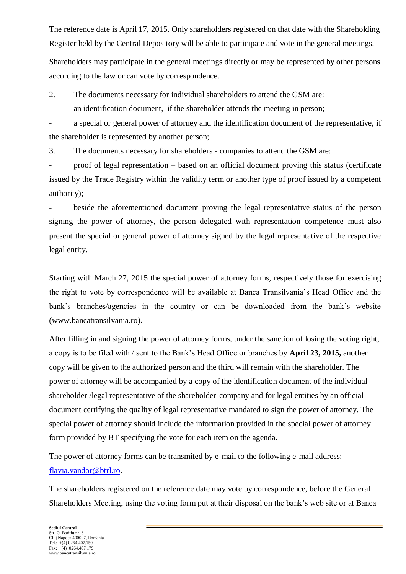The reference date is April 17, 2015. Only shareholders registered on that date with the Shareholding Register held by the Central Depository will be able to participate and vote in the general meetings.

Shareholders may participate in the general meetings directly or may be represented by other persons according to the law or can vote by correspondence.

2. The documents necessary for individual shareholders to attend the GSM are:

- an identification document, if the shareholder attends the meeting in person;

a special or general power of attorney and the identification document of the representative, if the shareholder is represented by another person;

3. The documents necessary for shareholders - companies to attend the GSM are:

- proof of legal representation – based on an official document proving this status (certificate issued by the Trade Registry within the validity term or another type of proof issued by a competent authority);

beside the aforementioned document proving the legal representative status of the person signing the power of attorney, the person delegated with representation competence must also present the special or general power of attorney signed by the legal representative of the respective legal entity.

Starting with March 27, 2015 the special power of attorney forms, respectively those for exercising the right to vote by correspondence will be available at Banca Transilvania's Head Office and the bank's branches/agencies in the country or can be downloaded from the bank's website (www.bancatransilvania.ro)**.**

After filling in and signing the power of attorney forms, under the sanction of losing the voting right, a copy is to be filed with / sent to the Bank's Head Office or branches by **April 23, 2015,** another copy will be given to the authorized person and the third will remain with the shareholder. The power of attorney will be accompanied by a copy of the identification document of the individual shareholder /legal representative of the shareholder-company and for legal entities by an official document certifying the quality of legal representative mandated to sign the power of attorney. The special power of attorney should include the information provided in the special power of attorney form provided by BT specifying the vote for each item on the agenda.

The power of attorney forms can be transmited by e-mail to the following e-mail address: [flavia.vandor@btrl.ro.](mailto:flavia.vandor@btrl.ro)

The shareholders registered on the reference date may vote by correspondence, before the General Shareholders Meeting, using the voting form put at their disposal on the bank's web site or at Banca

**Sediul Central** Str. G. Bariţiu nr. 8 Cluj Napoca 400027, România Tel.:  $+(4)$  0264.407.150  $Fax: +(4)$  0264 407 179 www.bancatransilvania.ro